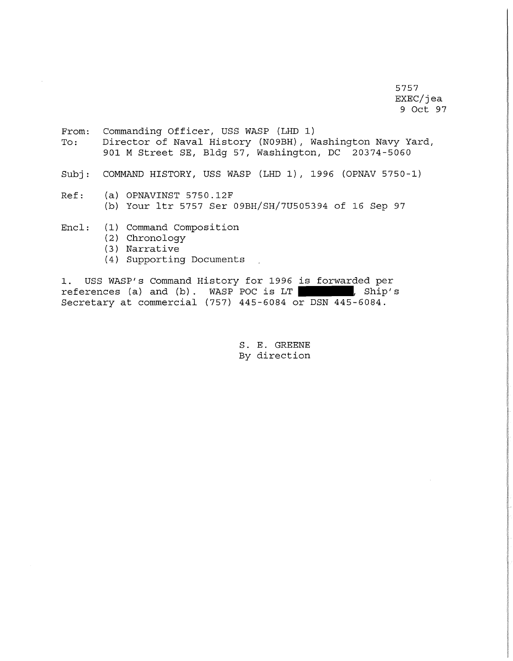5757 EXEC/jea 9 Oct 97

- From: Commanding Officer, USS WASP (LHD 1)<br>To: Director of Naval History (N09BH), W Director of Naval History (N09BH), Washington Navy Yard, 901 M Street SE, Bldg 57, Washington, DC 20374-5060
- Subj: COMMAND HISTORY, USS WASP (LHD 1), 1996 (OPNAV 5750-1)
- Ref: (a) OPNAVINST 5750.12F (b) Your ltr 5757 Ser 09BH/SH/7U505394 of 16 Sep 97
- Encl: (1) Command Composition
	- (2) Chronology
	- (3) Narrative
	- (4) Supporting Documents  $\mathbb{R}^2$

1. USS WASP's Command History for 1996 is forwarded per references (a) and (b). WASP POC is LT references (a) and (b). WASP POC is  $LT$ Secretary at commercial (757) 445-6084 or DSN 445-6084.

> S. E. GREENE By direction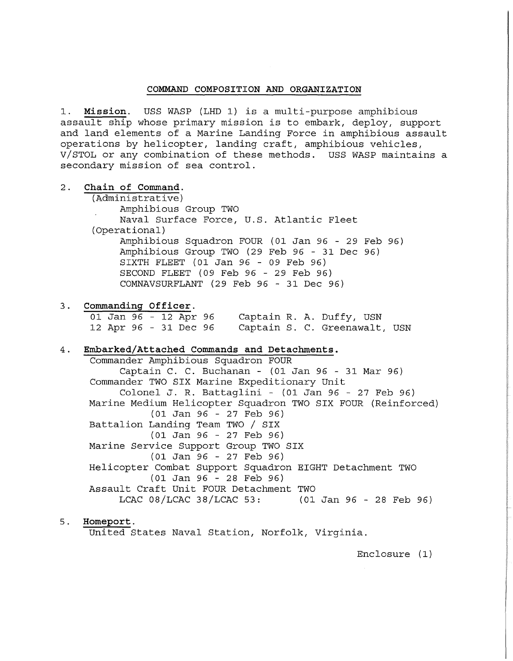### **COMMAND COMPOSITION AND ORGANIZATION**

1. **Mission.** USS WASP (LHD 1) is a multi-purpose amphibious assault ship whose primary mission is to embark, deploy, support and land elements of a Marine Landing Force in amphibious assault operations by helicopter, landing craft, amphibious vehicles, V/STOL or any combination of these methods. USS WASP maintains a secondary mission of sea control.

2. Chain of Command. (Administrative) Amphibious Group TWO Naval Surface Force, U.S. Atlantic Fleet (Operational) Amphibious Squadron FOUR (01 Jan 96 - 29 Feb 96) Amphibious Group TWO (29 Feb 96 - 31 Dec 96) SIXTH FLEET (01 Jan 96 - 09 Feb 96) SECOND FLEET (09 Feb 96 - 29 Feb 96) COMNAVSURFLANT (29 Feb 96 - 31 Dec 96)

## 3. **Conunanding Officer.**

01 Jan 96 - 12 Apr 96 12 Apr 96 - 31 Dec 96 Captain S. C. Greenawalt, USN Captain R. A. Duffy, USN

## 4. **Embarked/Attached Conunands and Detachments.**

Commander Amphibious Squadron FOUR Captain C. C. Buchanan - (01 Jan 96 - 31 Mar 96) Commander TWO SIX Marine Expeditionary Unit Colonel J. R. Battaglini - (01 Jan 96 - 27 Feb 96) Marine Medium Helicopter Squadron TWO SIX FOUR (Reinforced) (01 Jan 96 - 27 Feb 96) Battalion Landing Team TWO / SIX (01 Jan 96 - 27 Feb 96) Marine Service Support Group TWO SIX (01 Jan 96 - 27 Feb 96) Helicopter Combat Support Squadron EIGHT Detachment TWO (01 Jan 96 - 28 Feb 96) Assault Craft Unit FOUR Detachment TWO LCAC 08/LCAC 38/LCAC 53: (01 Jan 96 - 28 Feb 96)

# 5 . **Homeport.**

United States Naval Station, Norfolk, Virginia.

Enclosure (1)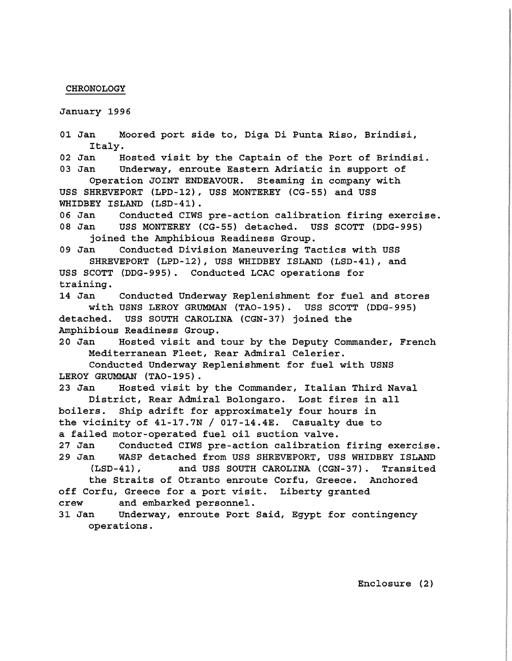#### CHRONOLOGY

January 1996

01 Jan Moored port side to, Diga Di Punta Riso, Brindisi, Italy.<br>1 02 Jan 02 Jan 19 Hosted visit by the Captain of the Port of Brindisi.<br>03 Jan 10 Underway, enroute Eastern Adriatic in support of Underway, enroute Eastern Adriatic in support of Operation JOINT ENDEAVOUR. Steaming in company with USS SHREVEPORT (LPD-12), USS MONTEREY (CG-SS) and USS WHIDBEY ISLAND (LSD-41). 06 Jan Conducted CIWS pre-action calibration firing exercise.<br>08 Jan USS MONTEREY (CG-55) detached. USS SCOTT (DDG-995) USS MONTEREY (CG-55) detached. USS SCOTT (DDG-995) joined the Amphibious Readiness Group. 09 Jan Conducted Division Maneuvering Tactics with USS SHREVEPORT (LPD-12), USS WHIDBEY ISLAND (LSD-41), and USS SCOTT (DDG-99S) . Conducted LCAC operations for training. 14 Jan Conducted Underway Replenishment for fuel and stores with USNS LEROY GRUMMAN (TA0-19S). USS SCOTT (DDG-99S) detached. USS SOUTH CAROLINA (CGN-37) joined the Amphibious Readiness Group. 20 Jan Hosted visit and tour by the Deputy Commander, French Mediterranean Fleet, Rear Admiral Celerier. Conducted Underway Replenishment for fuel with USNS LEROY GRUMMAN (TA0-19S). 23 Jan Hosted visit by the Commander, Italian Third Naval District, Rear Admiral Bolongaro. Lost fires in all boilers. Ship adrift for approximately four hours in the vicinity of 41-17.7N / 017-14.4E. Casualty due to a failed motor-operated fuel oil suction valve. 27 Jan Conducted CIWS pre-action calibration firing exercise. 29 Jan WASP detached from USS SHREVEPORT, USS WHIDBEY ISLAND (LSD-41), and USS SOUTH CAROLINA (CGN-37). Transited the Straits of Otranto enroute Corfu, Greece. Anchored off Corfu, Greece for a port visit. Liberty granted crew and embarked personnel. 31 Jan Underway, enroute Port Said, Egypt for contingency operations.

Enclosure (2)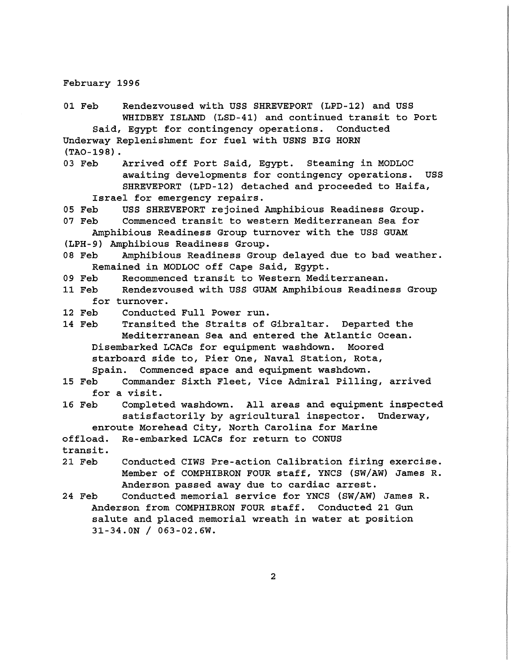February 1996

01 Feb Rendezvoused with USS SHREVEPORT (LPD-12) and USS WHIDBEY ISLAND (LSD-41) and continued transit to Port Said, Egypt for contingency operations. Conducted Underway Replenishment for fuel with USNS BIG HORN (TA0-198). 03 Feb Arrived off Port Said, Egypt. Steaming in MODLOC awaiting developments for contingency operations. USS SHREVEPORT (LPD-12) detached and proceeded to Haifa, Israel for emergency repairs. 05 Feb USS SHREVEPORT rejoined Amphibious Readiness Group.<br>07 Feb Commenced transit to western Mediterranean Sea for Commenced transit to western Mediterranean Sea for Amphibious Readiness Group turnover with the USS GUAM

(LPH-9) Amphibious Readiness Group. Amphibious Readiness Group delayed due to bad weather. Remained in MODLOC off Cape Said, Egypt.

09 Feb Recommenced transit to Western Mediterranean.<br>11 Feb Rendezvoused with USS GUAM Amphibious Readine

Rendezvoused with USS GUAM Amphibious Readiness Group for turnover.<br>12 Feb Conducte

Conducted Full Power run.

14 Feb Transited the Straits of Gibraltar. Departed the Mediterranean Sea and entered the Atlantic Ocean. Disembarked LCACs for equipment washdown. Moored starboard side to, Pier One, Naval Station, Rota, Spain. Commenced space and equipment washdown.

- 15 Feb Commander Sixth Fleet, Vice Admiral Pilling, arrived for a visit.<br>16 Feb Complet
- Completed washdown. All areas and equipment inspected satisfactorily by agricultural inspector. Underway,
- enroute Morehead City, North Carolina for Marine

offload. Re-embarked LCACs for return to CONUS

transit.

- 21 Feb Conducted CIWS Pre-action Calibration firing exercise. Member of COMPHIBRON FOUR staff, YNCS (SW/AW) James R. Anderson passed away due to cardiac arrest.
- 24 Feb Conducted memorial service for YNCS (SW/AW) James R. Anderson from COMPHIBRON FOUR staff. Conducted 21 Gun salute and placed memorial wreath in water at position  $31-34.0N / 063-02.6W$ .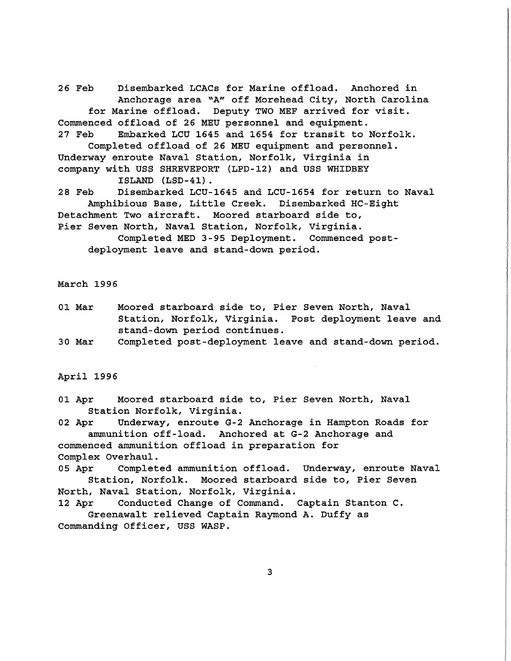26 Feb Disembarked LCACs for Marine offload. Anchored in Anchorage area "A" off Morehead City, North Carolina for Marine offload. Deputy TWO MEF arrived for visit. Commenced offload of 26 MEU personnel and equipment. 27 Feb Embarked LCU 1645 and 1654 for transit to Norfolk. Completed offload of 26 MEU equipment and personnel. Underway enroute Naval Station, Norfolk, Virginia in company with USS SHREVEPORT {LPD-12) and USS WHIDBEY ISLAND {LSD-41) . 28 Feb Disembarked LCU-1645 and LCU-1654 for return to Naval Amphibious Base, Little Creek. Disembarked HC-Eight Detachment Two aircraft. Moored starboard side to, Pier Seven North, Naval Station, Norfolk, Virginia.

Completed MED 3-95 Deployment. Commenced postdeployment leave and stand-down period.

March 1996

- 01 Mar Moored starboard side to, Pier Seven North, Naval Station, Norfolk, Virginia. Post deployment leave and stand-down period continues.
- 30 Mar Completed post-deployment leave and stand-down period.

April 1996

01 Apr Moored starboard side to, Pier Seven North, Naval Station Norfolk, Virginia.

02 Apr Underway, enroute G-2 Anchorage in Hampton Roads for ammunition off-load. Anchored at G-2 Anchorage and commenced ammunition offload in preparation for Complex Overhaul.

05 Apr Completed ammunition offload. Underway, enroute Naval Station, Norfolk. Moored starboard side to, Pier Seven North, Naval Station, Norfolk, Virginia.

12 Apr Conducted Change of Command. Captain Stanton C. Greenawalt relieved Captain Raymond A. Duffy as Commanding Officer, USS WASP.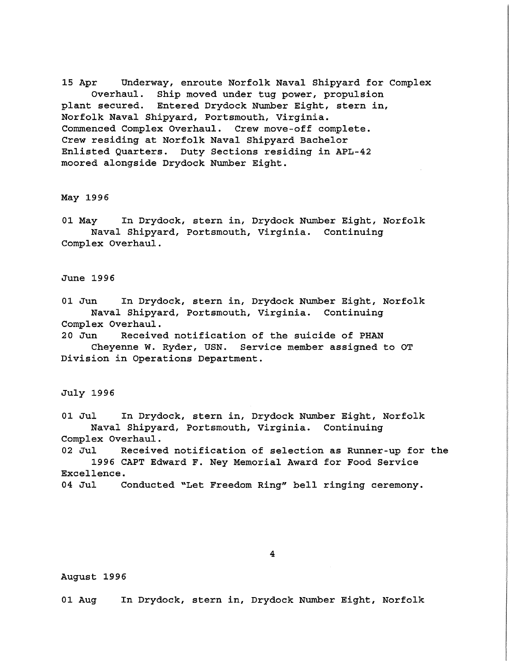15 Apr Underway, enroute Norfolk Naval Shipyard for Complex Overhaul. Ship moved under tug power, propulsion plant secured. Entered Drydock Number Eight, stern in, Norfolk Naval Shipyard, Portsmouth, Virginia. Commenced Complex Overhaul. Crew move-off complete. Crew residing at Norfolk Naval Shipyard Bachelor Enlisted Quarters. Duty Sections residing in APL-42 moored alongside Drydock Number Eight.

### May 1996

01 May In Drydock, stern in, Drydock Number Eight, Norfolk Naval Shipyard, Portsmouth, Virginia. Continuing Complex Overhaul.

### June 1996

01 Jun In Drydock, stern in, Drydock Number Eight, Norfolk Naval Shipyard, Portsmouth, Virginia. Continuing Complex Overhaul.

20 Jun Received notification of the suicide of PHAN Cheyenne W. Ryder, USN. Service member assigned to OT Division in Operations Department.

July 1996

01 Jul In Drydock, stern in, Drydock Number Eight, Norfolk Naval Shipyard, Portsmouth, Virginia. Continuing Complex Overhaul.

02 Jul Received notification of selection as Runner-up for the 1996 CAPT Edward F. Ney Memorial Award for Food Service Excellence.

04 Jul Conducted "Let Freedom Ring" bell ringing ceremony.

# 4

# August 1996

01 Aug In Drydock, stern in, Drydock Number Eight, Norfolk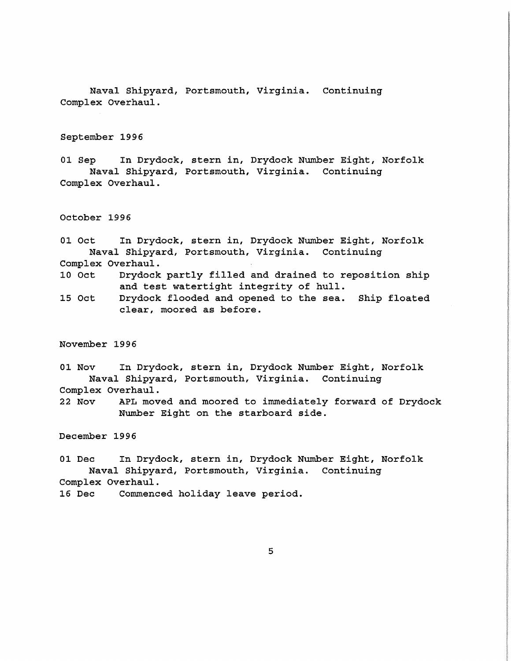Naval Shipyard, Portsmouth, Virginia. Continuing Complex Overhaul.

September 1996

01 Sep In Drydock, stern in, Drydock Number Eight, Norfolk Naval Shipyard, Portsmouth, Virginia. Continuing Complex Overhaul.

October 1996

01 Oct In Drydock, stern in, Drydock Number Eight, Norfolk Naval Shipyard, Portsmouth, Virginia. Continuing Complex Overhaul.

10 Oct Drydock partly filled and drained to reposition ship and test watertight integrity of hull.

15 Oct Drydock flooded and opened to the sea. Ship floated clear, moored as before.

November 1996

01 Nov In Drydock, stern in, Drydock Number Eight, Norfolk Naval Shipyard, Portsmouth, Virginia. Continuing Complex Overhaul.

22 Nov APL moved and moored to immediately forward of Drydock Number Eight on the starboard side.

December 1996

01 Dec In Drydock, stern in, Drydock Number Eight, Norfolk Naval Shipyard, Portsmouth, Virginia. Continuing Complex Overhaul. 16 Dec Commenced holiday leave period.

5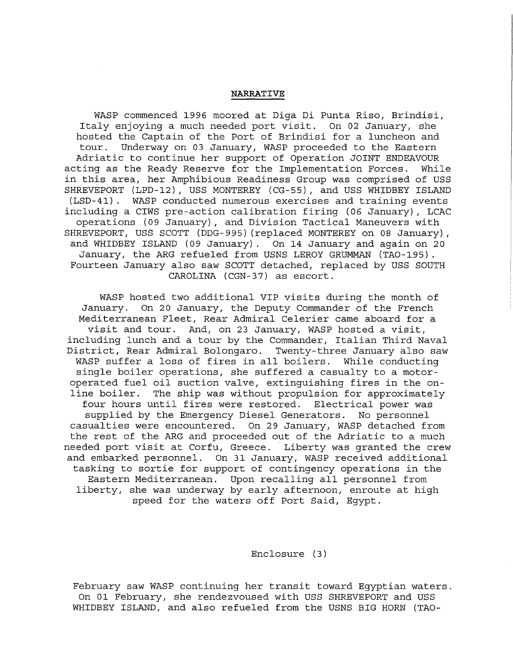### **NARRATIVE**

WASP commenced 1996 moored at Diga Di Punta Riso, Brindisi, Italy enjoying a much needed port visit. On 02 January, she hosted the Captain of the Port of Brindisi for a luncheon and tour. Underway on 03 January, WASP proceeded to the Eastern Adriatic to continue her support of Operation JOINT ENDEAVOUR<br>ting as the Ready Reserve for the Implementation Forces. While acting as the Ready Reserve for the Implementation Forces. in this area, her Amphibious Readiness Group was comprised of USS SHREVEPORT (LPD-12), USS MONTEREY (CG-55), and USS WHIDBEY ISLAND (LSD-41) . WASP conducted numerous exercises and training events including a CIWS pre-action calibration firing (06 January), LCAC operations (09 January), and Division Tactical Maneuvers with SHREVEPORT, USS SCOTT (DDG-995) (replaced MONTEREY on 08 January), and WHIDBEY ISLAND (09 January). On 14 January and again on 20 January, the ARG refueled from USNS LEROY GRUMMAN (TA0-195). Fourteen January also saw SCOTT detached, replaced by USS SOUTH CAROLINA (CGN-37) as escort.

WASP hosted two additional VIP visits during the month of January. On 20 January, the Deputy Commander of the French Mediterranean Fleet, Rear Admiral Celerier came aboard for a visit and tour. And, on 23 January, WASP hosted a visit, including lunch and a tour by the Commander, Italian Third Naval District, Rear Admiral Bolongaro. Twenty-three January also saw WASP suffer a loss of fires in all boilers. While conducting single boiler operations, she suffered a casualty to a motoroperated fuel oil suction valve, extinguishing fires in the online boiler. The ship was without propulsion for approximately four hours until fires were restored. Electrical power was supplied by the Emergency Diesel Generators. No personnel casualties were encountered. On 29 January, WASP detached from the rest of the ARG and proceeded out of the Adriatic to a much needed port visit at Corfu, Greece. Liberty was granted the crew and embarked personnel. On 31 January, WASP received additional tasking to sortie for support of contingency operations in the Eastern Mediterranean. Upon recalling all personnel from liberty, she was underway by early afternoon, enroute at high speed for the waters off Port Said, Egypt.

Enclosure (3)

February saw WASP continuing her transit toward Egyptian waters. On 01 February, she rendezvoused with USS SHREVEPORT and USS WHIDBEY ISLAND, and also refueled from the USNS BIG HORN (TAO-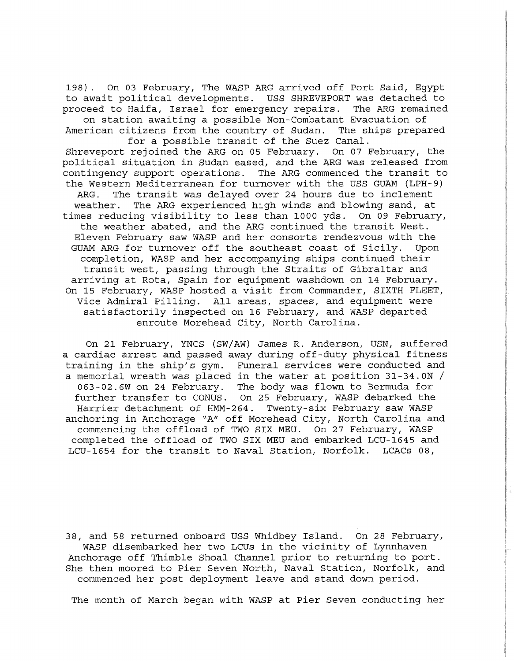198). On 03 February, The WASP ARG arrived off Port Said, Egypt to await political developments. USS SHREVEPORT was detached to proceed to Haifa, Israel for emergency repairs. The ARG remained on station awaiting a possible Non-Combatant Evacuation of

American citizens from the country of Sudan. The ships prepared for a possible transit of the Suez Canal.

Shreveport rejoined the ARG on 05 February. On 07 February, the political situation in Sudan eased, and the ARG was released from contingency support operations. The ARG commenced the transit to the Western Mediterranean for turnover with the USS GUAM (LPH-9) ARG. The transit was delayed over 24 hours due to inclement weather. The ARG experienced high winds and blowing sand, at times reducing visibility to less than 1000 yds. On 09 February, the weather abated, and the ARG continued the transit West. Eleven February saw WASP and her consorts rendezvous with the GUAM ARG for turnover off the southeast coast of Sicily. Upon completion, WASP and her accompanying ships continued their transit west, passing through the Straits of Gibraltar and arriving at Rota, Spain for equipment washdown on 14 February. On 15 February, WASP hosted a visit from Commander, SIXTH FLEET, Vice Admiral Pilling. All areas, spaces, and equipment were satisfactorily inspected on 16 February, and WASP departed enroute Morehead City, North Carolina.

On 21 February, YNCS (SW/AW) James R. Anderson, USN, suffered a cardiac arrest and passed away during off-duty physical fitness training in the ship's gym. Funeral services were conducted and a memorial wreath was placed in the water at position 31-34.0N / 063-02.6W on 24 February. The body was flown to Bermuda for further transfer to CONUS. On 25 February, WASP debarked the Harrier detachment of HMM-264. Twenty-six February saw WASP anchoring in Anchorage "A" off Morehead City, North Carolina and commencing the offload of TWO SIX MEU. On 27 February, WASP completed the offload of TWO SIX MEU and embarked LCU-1645 and LCU-1654 for the transit to Naval Station, Norfolk. LCACs 08,

38, and 58 returned onboard USS Whidbey Island. On 28 February, WASP disembarked her two LCUs in the vicinity of Lynnhaven Anchorage off Thimble Shoal Channel prior to returning to port. She then moored to Pier Seven North, Naval Station, Norfolk, and commenced her post deployment leave and stand down period.

The month of March began with WASP at Pier Seven conducting her